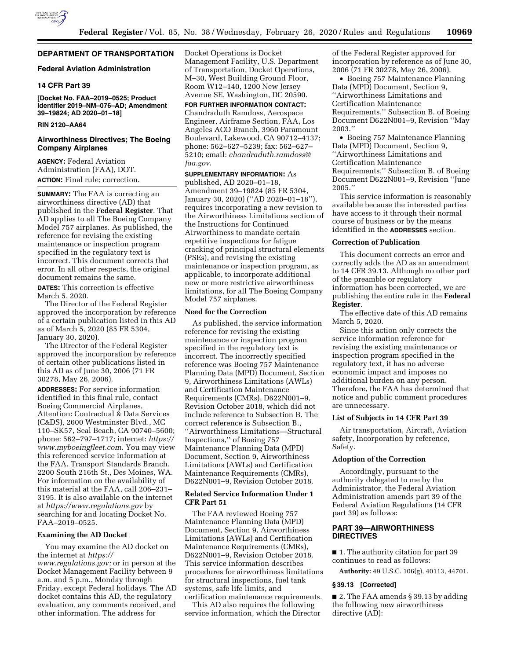

## **DEPARTMENT OF TRANSPORTATION**

### **Federal Aviation Administration**

### **14 CFR Part 39**

**[Docket No. FAA–2019–0525; Product Identifier 2019–NM–076–AD; Amendment 39–19824; AD 2020–01–18]** 

## **RIN 2120–AA64**

## **Airworthiness Directives; The Boeing Company Airplanes**

**AGENCY:** Federal Aviation Administration (FAA), DOT. **ACTION:** Final rule; correction.

**SUMMARY:** The FAA is correcting an airworthiness directive (AD) that published in the **Federal Register**. That AD applies to all The Boeing Company Model 757 airplanes. As published, the reference for revising the existing maintenance or inspection program specified in the regulatory text is incorrect. This document corrects that error. In all other respects, the original document remains the same.

**DATES:** This correction is effective March 5, 2020.

The Director of the Federal Register approved the incorporation by reference of a certain publication listed in this AD as of March 5, 2020 (85 FR 5304, January 30, 2020).

The Director of the Federal Register approved the incorporation by reference of certain other publications listed in this AD as of June 30, 2006 (71 FR 30278, May 26, 2006).

**ADDRESSES:** For service information identified in this final rule, contact Boeing Commercial Airplanes, Attention: Contractual & Data Services (C&DS), 2600 Westminster Blvd., MC 110–SK57, Seal Beach, CA 90740–5600; phone: 562–797–1717; internet: *[https://](https://www.myboeingfleet.com)  [www.myboeingfleet.com](https://www.myboeingfleet.com)*. You may view this referenced service information at the FAA, Transport Standards Branch, 2200 South 216th St., Des Moines, WA. For information on the availability of this material at the FAA, call 206–231– 3195. It is also available on the internet at *<https://www.regulations.gov>* by searching for and locating Docket No. FAA–2019–0525.

## **Examining the AD Docket**

You may examine the AD docket on the internet at *[https://](https://www.regulations.gov) [www.regulations.gov;](https://www.regulations.gov)* or in person at the Docket Management Facility between 9 a.m. and 5 p.m., Monday through Friday, except Federal holidays. The AD docket contains this AD, the regulatory evaluation, any comments received, and other information. The address for

Docket Operations is Docket Management Facility, U.S. Department of Transportation, Docket Operations, M–30, West Building Ground Floor, Room W12–140, 1200 New Jersey Avenue SE, Washington, DC 20590.

**FOR FURTHER INFORMATION CONTACT:**  Chandraduth Ramdoss, Aerospace Engineer, Airframe Section, FAA, Los Angeles ACO Branch, 3960 Paramount Boulevard, Lakewood, CA 90712–4137; phone: 562–627–5239; fax: 562–627– 5210; email: *[chandraduth.ramdoss@](mailto:chandraduth.ramdoss@faa.gov) [faa.gov](mailto:chandraduth.ramdoss@faa.gov)*.

**SUPPLEMENTARY INFORMATION:** As published, AD 2020–01–18, Amendment 39–19824 (85 FR 5304, January 30, 2020) (''AD 2020–01–18''), requires incorporating a new revision to the Airworthiness Limitations section of the Instructions for Continued Airworthiness to mandate certain repetitive inspections for fatigue cracking of principal structural elements (PSEs), and revising the existing maintenance or inspection program, as applicable, to incorporate additional new or more restrictive airworthiness limitations, for all The Boeing Company Model 757 airplanes.

### **Need for the Correction**

As published, the service information reference for revising the existing maintenance or inspection program specified in the regulatory text is incorrect. The incorrectly specified reference was Boeing 757 Maintenance Planning Data (MPD) Document, Section 9, Airworthiness Limitations (AWLs) and Certification Maintenance Requirements (CMRs), D622N001–9, Revision October 2018, which did not include reference to Subsection B. The correct reference is Subsection B., ''Airworthiness Limitations—Structural Inspections,'' of Boeing 757 Maintenance Planning Data (MPD) Document, Section 9, Airworthiness Limitations (AWLs) and Certification Maintenance Requirements (CMRs), D622N001–9, Revision October 2018.

# **Related Service Information Under 1 CFR Part 51**

The FAA reviewed Boeing 757 Maintenance Planning Data (MPD) Document, Section 9, Airworthiness Limitations (AWLs) and Certification Maintenance Requirements (CMRs), D622N001–9, Revision October 2018. This service information describes procedures for airworthiness limitations for structural inspections, fuel tank systems, safe life limits, and certification maintenance requirements.

This AD also requires the following service information, which the Director of the Federal Register approved for incorporation by reference as of June 30, 2006 (71 FR 30278, May 26, 2006).

• Boeing 757 Maintenance Planning Data (MPD) Document, Section 9, ''Airworthiness Limitations and Certification Maintenance Requirements,'' Subsection B. of Boeing Document D622N001–9, Revision ''May 2003.''

• Boeing 757 Maintenance Planning Data (MPD) Document, Section 9, ''Airworthiness Limitations and Certification Maintenance Requirements,'' Subsection B. of Boeing Document D622N001–9, Revision ''June 2005.''

This service information is reasonably available because the interested parties have access to it through their normal course of business or by the means identified in the **ADDRESSES** section.

## **Correction of Publication**

This document corrects an error and correctly adds the AD as an amendment to 14 CFR 39.13. Although no other part of the preamble or regulatory information has been corrected, we are publishing the entire rule in the **Federal Register**.

The effective date of this AD remains March 5, 2020.

Since this action only corrects the service information reference for revising the existing maintenance or inspection program specified in the regulatory text, it has no adverse economic impact and imposes no additional burden on any person. Therefore, the FAA has determined that notice and public comment procedures are unnecessary.

### **List of Subjects in 14 CFR Part 39**

Air transportation, Aircraft, Aviation safety, Incorporation by reference, Safety.

### **Adoption of the Correction**

Accordingly, pursuant to the authority delegated to me by the Administrator, the Federal Aviation Administration amends part 39 of the Federal Aviation Regulations (14 CFR part 39) as follows:

## **PART 39—AIRWORTHINESS DIRECTIVES**

■ 1. The authority citation for part 39 continues to read as follows:

**Authority:** 49 U.S.C. 106(g), 40113, 44701.

#### **§ 39.13 [Corrected]**

■ 2. The FAA amends § 39.13 by adding the following new airworthiness directive (AD):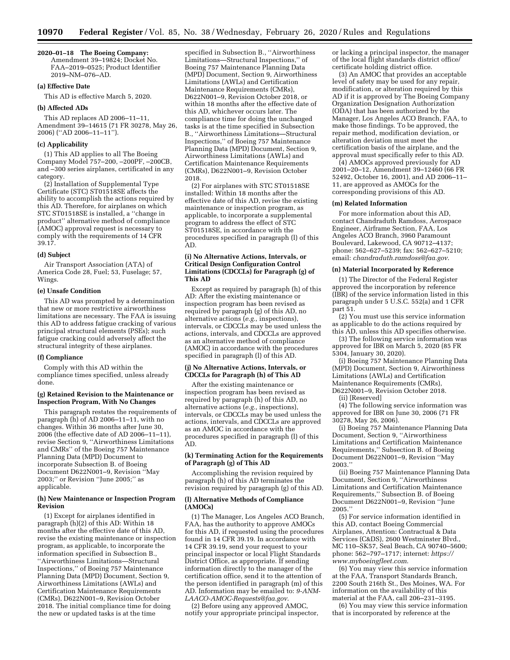#### **2020–01–18 The Boeing Company:**

Amendment 39–19824; Docket No. FAA–2019–0525; Product Identifier 2019–NM–076–AD.

## **(a) Effective Date**

This AD is effective March 5, 2020.

## **(b) Affected ADs**

This AD replaces AD 2006–11–11, Amendment 39–14615 (71 FR 30278, May 26, 2006) (''AD 2006–11–11'').

#### **(c) Applicability**

(1) This AD applies to all The Boeing Company Model 757–200, –200PF, –200CB, and –300 series airplanes, certificated in any category.

(2) Installation of Supplemental Type Certificate (STC) ST01518SE affects the ability to accomplish the actions required by this AD. Therefore, for airplanes on which STC ST01518SE is installed, a ''change in product'' alternative method of compliance (AMOC) approval request is necessary to comply with the requirements of 14 CFR 39.17.

#### **(d) Subject**

Air Transport Association (ATA) of America Code 28, Fuel; 53, Fuselage; 57, Wings.

### **(e) Unsafe Condition**

This AD was prompted by a determination that new or more restrictive airworthiness limitations are necessary. The FAA is issuing this AD to address fatigue cracking of various principal structural elements (PSEs); such fatigue cracking could adversely affect the structural integrity of these airplanes.

#### **(f) Compliance**

Comply with this AD within the compliance times specified, unless already done.

### **(g) Retained Revision to the Maintenance or Inspection Program, With No Changes**

This paragraph restates the requirements of paragraph (h) of AD 2006–11–11, with no changes. Within 36 months after June 30, 2006 (the effective date of AD 2006–11–11), revise Section 9, ''Airworthiness Limitations and CMRs'' of the Boeing 757 Maintenance Planning Data (MPD) Document to incorporate Subsection B. of Boeing Document D622N001–9, Revision ''May 2003;'' or Revision ''June 2005;'' as applicable.

### **(h) New Maintenance or Inspection Program Revision**

(1) Except for airplanes identified in paragraph (h)(2) of this AD: Within 18 months after the effective date of this AD, revise the existing maintenance or inspection program, as applicable, to incorporate the information specified in Subsection B., ''Airworthiness Limitations—Structural Inspections,'' of Boeing 757 Maintenance Planning Data (MPD) Document, Section 9, Airworthiness Limitations (AWLs) and Certification Maintenance Requirements (CMRs), D622N001–9, Revision October 2018. The initial compliance time for doing the new or updated tasks is at the time

specified in Subsection B., ''Airworthiness Limitations—Structural Inspections,'' of Boeing 757 Maintenance Planning Data (MPD) Document, Section 9, Airworthiness Limitations (AWLs) and Certification Maintenance Requirements (CMRs), D622N001–9, Revision October 2018, or within 18 months after the effective date of this AD, whichever occurs later. The compliance time for doing the unchanged tasks is at the time specified in Subsection B., ''Airworthiness Limitations—Structural Inspections,'' of Boeing 757 Maintenance Planning Data (MPD) Document, Section 9, Airworthiness Limitations (AWLs) and Certification Maintenance Requirements (CMRs), D622N001–9, Revision October 2018.

(2) For airplanes with STC ST01518SE installed: Within 18 months after the effective date of this AD, revise the existing maintenance or inspection program, as applicable, to incorporate a supplemental program to address the effect of STC ST01518SE, in accordance with the procedures specified in paragraph (l) of this AD.

#### **(i) No Alternative Actions, Intervals, or Critical Design Configuration Control Limitations (CDCCLs) for Paragraph (g) of This AD**

Except as required by paragraph (h) of this AD: After the existing maintenance or inspection program has been revised as required by paragraph (g) of this AD, no alternative actions (*e.g.,* inspections), intervals, or CDCCLs may be used unless the actions, intervals, and CDCCLs are approved as an alternative method of compliance (AMOC) in accordance with the procedures specified in paragraph (l) of this AD.

### **(j) No Alternative Actions, Intervals, or CDCCLs for Paragraph (h) of This AD**

After the existing maintenance or inspection program has been revised as required by paragraph (h) of this AD, no alternative actions (*e.g.,* inspections), intervals, or CDCCLs may be used unless the actions, intervals, and CDCCLs are approved as an AMOC in accordance with the procedures specified in paragraph (l) of this AD.

### **(k) Terminating Action for the Requirements of Paragraph (g) of This AD**

Accomplishing the revision required by paragraph (h) of this AD terminates the revision required by paragraph (g) of this AD.

### **(l) Alternative Methods of Compliance (AMOCs)**

(1) The Manager, Los Angeles ACO Branch, FAA, has the authority to approve AMOCs for this AD, if requested using the procedures found in 14 CFR 39.19. In accordance with 14 CFR 39.19, send your request to your principal inspector or local Flight Standards District Office, as appropriate. If sending information directly to the manager of the certification office, send it to the attention of the person identified in paragraph (m) of this AD. Information may be emailed to: *[9-ANM-](mailto:9-ANM-LAACO-AMOC-Requests@faa.gov)[LAACO-AMOC-Requests@faa.gov](mailto:9-ANM-LAACO-AMOC-Requests@faa.gov)*.

(2) Before using any approved AMOC, notify your appropriate principal inspector, or lacking a principal inspector, the manager of the local flight standards district office/ certificate holding district office.

(3) An AMOC that provides an acceptable level of safety may be used for any repair, modification, or alteration required by this AD if it is approved by The Boeing Company Organization Designation Authorization (ODA) that has been authorized by the Manager, Los Angeles ACO Branch, FAA, to make those findings. To be approved, the repair method, modification deviation, or alteration deviation must meet the certification basis of the airplane, and the approval must specifically refer to this AD.

(4) AMOCs approved previously for AD 2001–20–12, Amendment 39–12460 (66 FR 52492, October 16, 2001), and AD 2006–11– 11, are approved as AMOCs for the corresponding provisions of this AD.

#### **(m) Related Information**

For more information about this AD, contact Chandraduth Ramdoss, Aerospace Engineer, Airframe Section, FAA, Los Angeles ACO Branch, 3960 Paramount Boulevard, Lakewood, CA 90712–4137; phone: 562–627–5239; fax: 562–627–5210; email: *[chandraduth.ramdoss@faa.gov](mailto:chandraduth.ramdoss@faa.gov)*.

#### **(n) Material Incorporated by Reference**

(1) The Director of the Federal Register approved the incorporation by reference (IBR) of the service information listed in this paragraph under 5 U.S.C. 552(a) and 1 CFR part 51.

(2) You must use this service information as applicable to do the actions required by this AD, unless this AD specifies otherwise.

(3) The following service information was approved for IBR on March 5, 2020 (85 FR 5304, January 30, 2020).

(i) Boeing 757 Maintenance Planning Data (MPD) Document, Section 9, Airworthiness Limitations (AWLs) and Certification Maintenance Requirements (CMRs), D622N001–9, Revision October 2018.

(ii) [Reserved]

(4) The following service information was approved for IBR on June 30, 2006 (71 FR 30278, May 26, 2006).

(i) Boeing 757 Maintenance Planning Data Document, Section 9, ''Airworthiness Limitations and Certification Maintenance Requirements,'' Subsection B. of Boeing Document D622N001–9, Revision ''May 2003.''

(ii) Boeing 757 Maintenance Planning Data Document, Section 9, ''Airworthiness Limitations and Certification Maintenance Requirements,'' Subsection B. of Boeing Document D622N001–9, Revision ''June 2005.''

(5) For service information identified in this AD, contact Boeing Commercial Airplanes, Attention: Contractual & Data Services (C&DS), 2600 Westminster Blvd., MC 110–SK57, Seal Beach, CA 90740–5600; phone: 562–797–1717; internet: *[https://](https://www.myboeingfleet.com) [www.myboeingfleet.com](https://www.myboeingfleet.com)*.

(6) You may view this service information at the FAA, Transport Standards Branch, 2200 South 216th St., Des Moines, WA. For information on the availability of this material at the FAA, call 206–231–3195.

(6) You may view this service information that is incorporated by reference at the